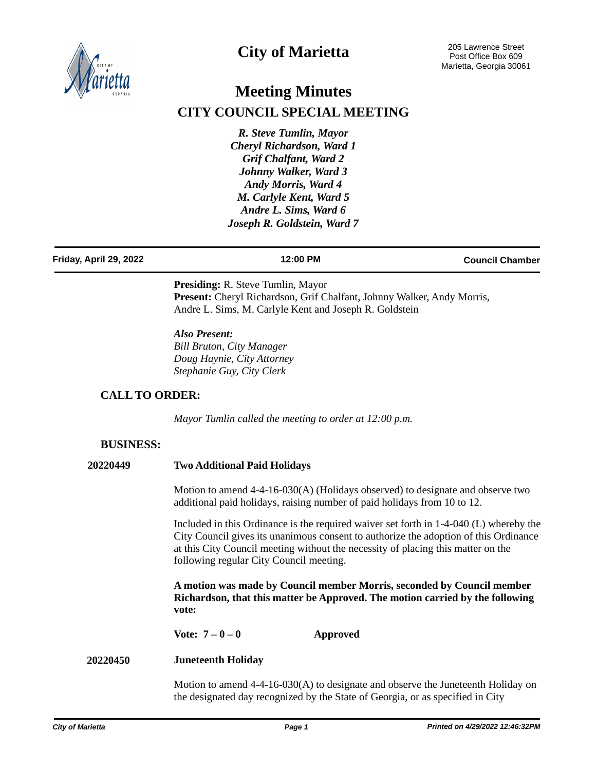

## **City of Marietta**

# **Meeting Minutes CITY COUNCIL SPECIAL MEETING**

*R. Steve Tumlin, Mayor Cheryl Richardson, Ward 1 Grif Chalfant, Ward 2 Johnny Walker, Ward 3 Andy Morris, Ward 4 M. Carlyle Kent, Ward 5 Andre L. Sims, Ward 6 Joseph R. Goldstein, Ward 7*

#### **Friday, April 29, 2022 12:00 PM Council Chamber**

**Presiding:** R. Steve Tumlin, Mayor Present: Cheryl Richardson, Grif Chalfant, Johnny Walker, Andy Morris, Andre L. Sims, M. Carlyle Kent and Joseph R. Goldstein

*Also Present: Bill Bruton, City Manager Doug Haynie, City Attorney Stephanie Guy, City Clerk*

## **CALL TO ORDER:**

*Mayor Tumlin called the meeting to order at 12:00 p.m.*

#### **BUSINESS:**

#### **20220449 Two Additional Paid Holidays**

Motion to amend 4-4-16-030(A) (Holidays observed) to designate and observe two additional paid holidays, raising number of paid holidays from 10 to 12.

Included in this Ordinance is the required waiver set forth in 1-4-040 (L) whereby the City Council gives its unanimous consent to authorize the adoption of this Ordinance at this City Council meeting without the necessity of placing this matter on the following regular City Council meeting.

**A motion was made by Council member Morris, seconded by Council member Richardson, that this matter be Approved. The motion carried by the following vote:**

**Vote: 7 – 0 – 0 Approved**

#### **Juneteenth Holiday 20220450**

Motion to amend 4-4-16-030(A) to designate and observe the Juneteenth Holiday on the designated day recognized by the State of Georgia, or as specified in City